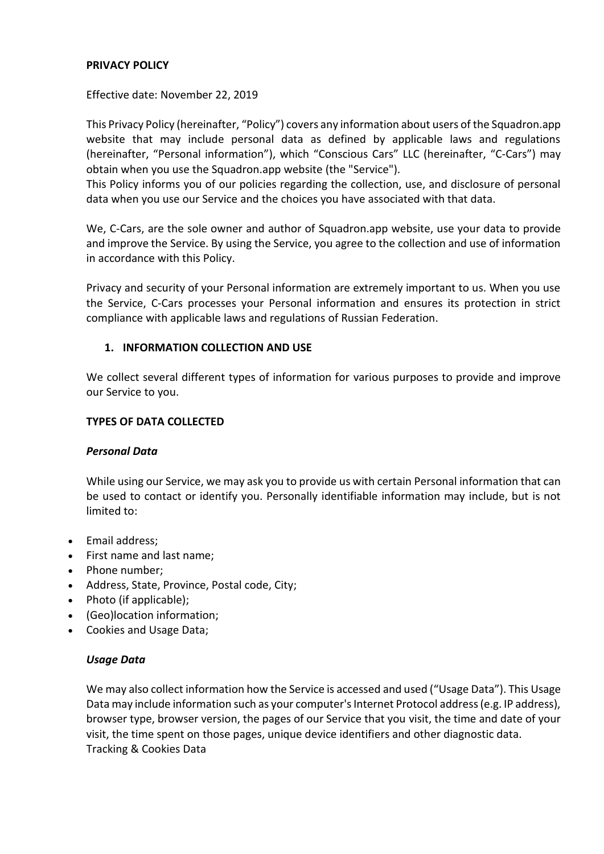## **PRIVACY POLICY**

## Effective date: November 22, 2019

This Privacy Policy (hereinafter, "Policy") covers any information about users of the Squadron.app website that may include personal data as defined by applicable laws and regulations (hereinafter, "Personal information"), which "Conscious Cars" LLC (hereinafter, "C-Cars") may obtain when you use the Squadron.app website (the "Service").

This Policy informs you of our policies regarding the collection, use, and disclosure of personal data when you use our Service and the choices you have associated with that data.

We, C-Cars, are the sole owner and author of Squadron.app website, use your data to provide and improve the Service. By using the Service, you agree to the collection and use of information in accordance with this Policy.

Privacy and security of your Personal information are extremely important to us. When you use the Service, C-Cars processes your Personal information and ensures its protection in strict compliance with applicable laws and regulations of Russian Federation.

## **1. INFORMATION COLLECTION AND USE**

We collect several different types of information for various purposes to provide and improve our Service to you.

#### **TYPES OF DATA COLLECTED**

#### *Personal Data*

While using our Service, we may ask you to provide us with certain Personal information that can be used to contact or identify you. Personally identifiable information may include, but is not limited to:

- Email address;
- First name and last name;
- Phone number;
- Address, State, Province, Postal code, City;
- Photo (if applicable);
- (Geo)location information;
- Cookies and Usage Data;

#### *Usage Data*

We may also collect information how the Service is accessed and used ("Usage Data"). This Usage Data may include information such as your computer's Internet Protocol address (e.g. IP address), browser type, browser version, the pages of our Service that you visit, the time and date of your visit, the time spent on those pages, unique device identifiers and other diagnostic data. Tracking & Cookies Data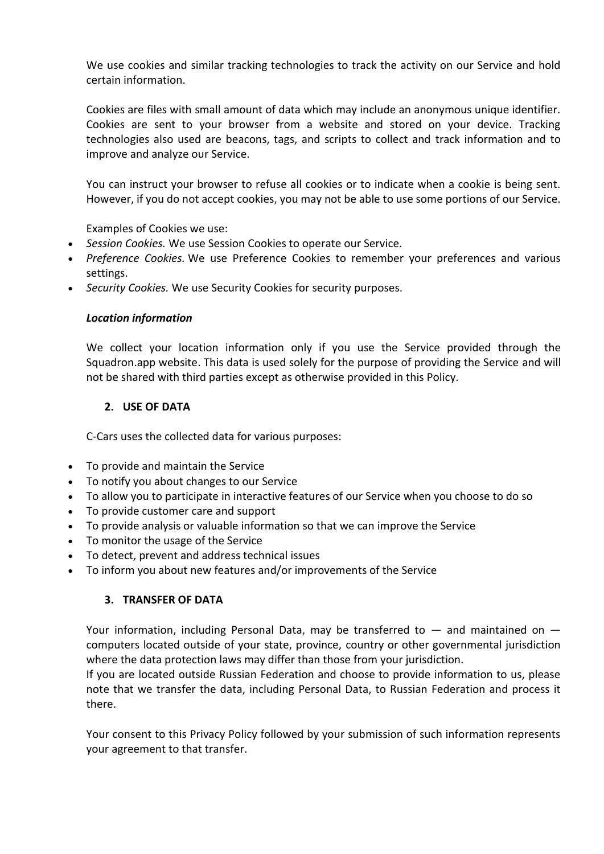We use cookies and similar tracking technologies to track the activity on our Service and hold certain information.

Cookies are files with small amount of data which may include an anonymous unique identifier. Cookies are sent to your browser from a website and stored on your device. Tracking technologies also used are beacons, tags, and scripts to collect and track information and to improve and analyze our Service.

You can instruct your browser to refuse all cookies or to indicate when a cookie is being sent. However, if you do not accept cookies, you may not be able to use some portions of our Service.

Examples of Cookies we use:

- *Session Cookies.* We use Session Cookies to operate our Service.
- *Preference Cookies.* We use Preference Cookies to remember your preferences and various settings.
- *Security Cookies.* We use Security Cookies for security purposes.

## *Location information*

We collect your location information only if you use the Service provided through the Squadron.app website. This data is used solely for the purpose of providing the Service and will not be shared with third parties except as otherwise provided in this Policy.

## **2. USE OF DATA**

C-Cars uses the collected data for various purposes:

- To provide and maintain the Service
- To notify you about changes to our Service
- To allow you to participate in interactive features of our Service when you choose to do so
- To provide customer care and support
- To provide analysis or valuable information so that we can improve the Service
- To monitor the usage of the Service
- To detect, prevent and address technical issues
- To inform you about new features and/or improvements of the Service

#### **3. TRANSFER OF DATA**

Your information, including Personal Data, may be transferred to  $-$  and maintained on  $$ computers located outside of your state, province, country or other governmental jurisdiction where the data protection laws may differ than those from your jurisdiction.

If you are located outside Russian Federation and choose to provide information to us, please note that we transfer the data, including Personal Data, to Russian Federation and process it there.

Your consent to this Privacy Policy followed by your submission of such information represents your agreement to that transfer.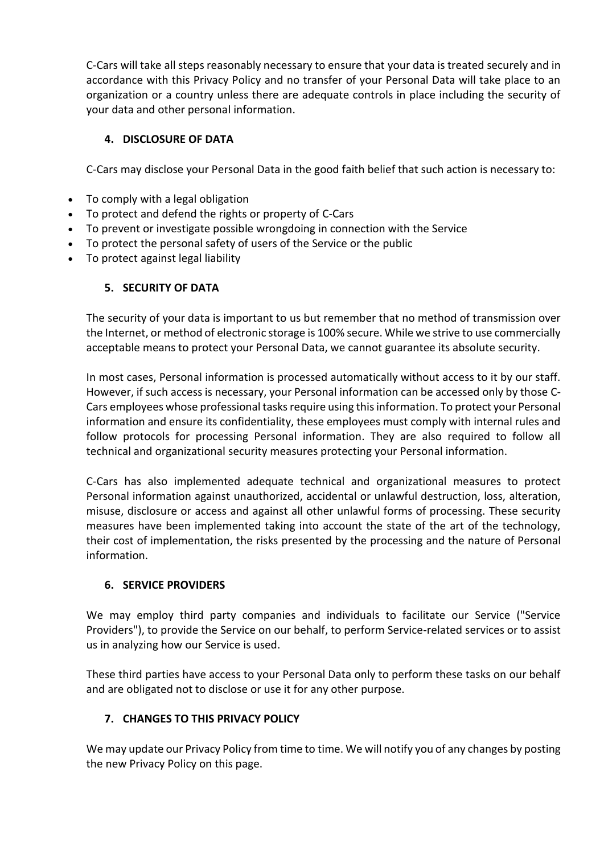C-Cars will take all steps reasonably necessary to ensure that your data is treated securely and in accordance with this Privacy Policy and no transfer of your Personal Data will take place to an organization or a country unless there are adequate controls in place including the security of your data and other personal information.

# **4. DISCLOSURE OF DATA**

C-Cars may disclose your Personal Data in the good faith belief that such action is necessary to:

- To comply with a legal obligation
- To protect and defend the rights or property of C-Cars
- To prevent or investigate possible wrongdoing in connection with the Service
- To protect the personal safety of users of the Service or the public
- To protect against legal liability

# **5. SECURITY OF DATA**

The security of your data is important to us but remember that no method of transmission over the Internet, or method of electronic storage is 100% secure. While we strive to use commercially acceptable means to protect your Personal Data, we cannot guarantee its absolute security.

In most cases, Personal information is processed automatically without access to it by our staff. However, if such access is necessary, your Personal information can be accessed only by those C-Cars employees whose professional tasks require using this information. To protect your Personal information and ensure its confidentiality, these employees must comply with internal rules and follow protocols for processing Personal information. They are also required to follow all technical and organizational security measures protecting your Personal information.

C-Cars has also implemented adequate technical and organizational measures to protect Personal information against unauthorized, accidental or unlawful destruction, loss, alteration, misuse, disclosure or access and against all other unlawful forms of processing. These security measures have been implemented taking into account the state of the art of the technology, their cost of implementation, the risks presented by the processing and the nature of Personal information.

# **6. SERVICE PROVIDERS**

We may employ third party companies and individuals to facilitate our Service ("Service Providers"), to provide the Service on our behalf, to perform Service-related services or to assist us in analyzing how our Service is used.

These third parties have access to your Personal Data only to perform these tasks on our behalf and are obligated not to disclose or use it for any other purpose.

# **7. CHANGES TO THIS PRIVACY POLICY**

We may update our Privacy Policy from time to time. We will notify you of any changes by posting the new Privacy Policy on this page.